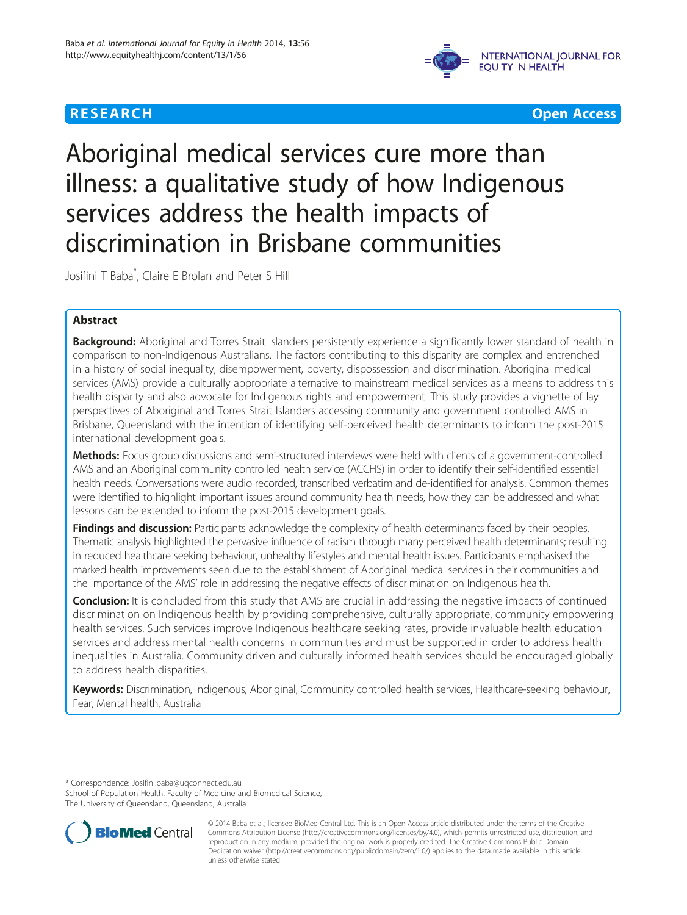



# Aboriginal medical services cure more than illness: a qualitative study of how Indigenous services address the health impacts of discrimination in Brisbane communities

Josifini T Baba\* , Claire E Brolan and Peter S Hill

# Abstract

**Background:** Aboriginal and Torres Strait Islanders persistently experience a significantly lower standard of health in comparison to non-Indigenous Australians. The factors contributing to this disparity are complex and entrenched in a history of social inequality, disempowerment, poverty, dispossession and discrimination. Aboriginal medical services (AMS) provide a culturally appropriate alternative to mainstream medical services as a means to address this health disparity and also advocate for Indigenous rights and empowerment. This study provides a vignette of lay perspectives of Aboriginal and Torres Strait Islanders accessing community and government controlled AMS in Brisbane, Queensland with the intention of identifying self-perceived health determinants to inform the post-2015 international development goals.

Methods: Focus group discussions and semi-structured interviews were held with clients of a government-controlled AMS and an Aboriginal community controlled health service (ACCHS) in order to identify their self-identified essential health needs. Conversations were audio recorded, transcribed verbatim and de-identified for analysis. Common themes were identified to highlight important issues around community health needs, how they can be addressed and what lessons can be extended to inform the post-2015 development goals.

Findings and discussion: Participants acknowledge the complexity of health determinants faced by their peoples. Thematic analysis highlighted the pervasive influence of racism through many perceived health determinants; resulting in reduced healthcare seeking behaviour, unhealthy lifestyles and mental health issues. Participants emphasised the marked health improvements seen due to the establishment of Aboriginal medical services in their communities and the importance of the AMS' role in addressing the negative effects of discrimination on Indigenous health.

**Conclusion:** It is concluded from this study that AMS are crucial in addressing the negative impacts of continued discrimination on Indigenous health by providing comprehensive, culturally appropriate, community empowering health services. Such services improve Indigenous healthcare seeking rates, provide invaluable health education services and address mental health concerns in communities and must be supported in order to address health inequalities in Australia. Community driven and culturally informed health services should be encouraged globally to address health disparities.

Keywords: Discrimination, Indigenous, Aboriginal, Community controlled health services, Healthcare-seeking behaviour, Fear, Mental health, Australia

\* Correspondence: [Josifini.baba@uqconnect.edu.au](mailto:Josifini.baba@uqconnect.edu.au)

School of Population Health, Faculty of Medicine and Biomedical Science, The University of Queensland, Queensland, Australia



<sup>© 2014</sup> Baba et al.; licensee BioMed Central Ltd. This is an Open Access article distributed under the terms of the Creative Commons Attribution License [\(http://creativecommons.org/licenses/by/4.0\)](http://creativecommons.org/licenses/by/4.0), which permits unrestricted use, distribution, and reproduction in any medium, provided the original work is properly credited. The Creative Commons Public Domain Dedication waiver [\(http://creativecommons.org/publicdomain/zero/1.0/](http://creativecommons.org/publicdomain/zero/1.0/)) applies to the data made available in this article, unless otherwise stated.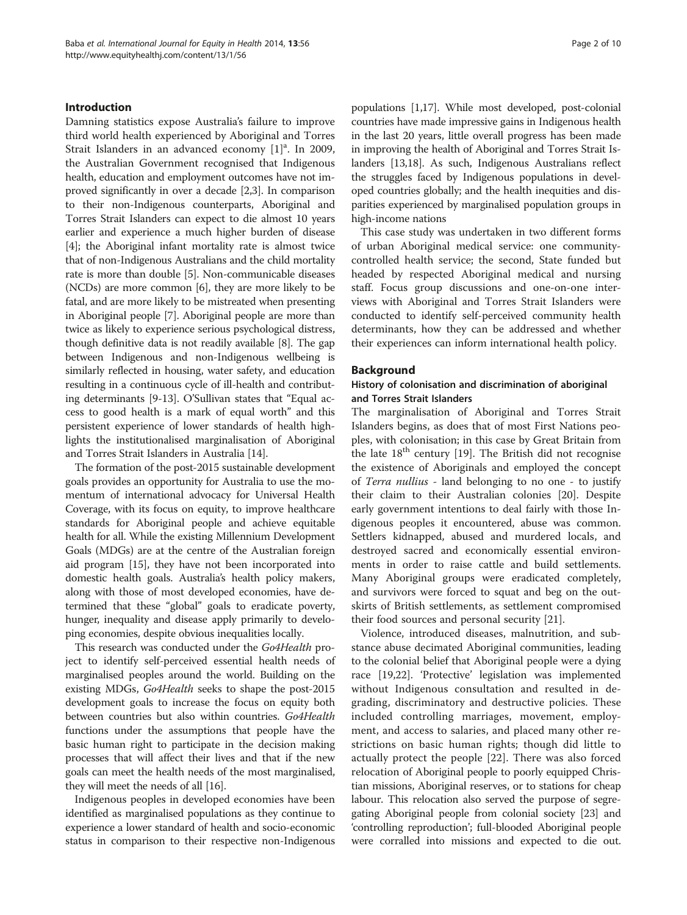#### Introduction

Damning statistics expose Australia's failure to improve third world health experienced by Aboriginal and Torres Strait Islanders in an advanced economy  $[1]^a$  $[1]^a$  $[1]^a$ . In 2009, the Australian Government recognised that Indigenous health, education and employment outcomes have not improved significantly in over a decade [[2,3](#page-7-0)]. In comparison to their non-Indigenous counterparts, Aboriginal and Torres Strait Islanders can expect to die almost 10 years earlier and experience a much higher burden of disease [[4\]](#page-8-0); the Aboriginal infant mortality rate is almost twice that of non-Indigenous Australians and the child mortality rate is more than double [[5](#page-8-0)]. Non-communicable diseases (NCDs) are more common [[6\]](#page-8-0), they are more likely to be fatal, and are more likely to be mistreated when presenting in Aboriginal people [\[7](#page-8-0)]. Aboriginal people are more than twice as likely to experience serious psychological distress, though definitive data is not readily available [\[8](#page-8-0)]. The gap between Indigenous and non-Indigenous wellbeing is similarly reflected in housing, water safety, and education resulting in a continuous cycle of ill-health and contributing determinants [\[9](#page-8-0)-[13](#page-8-0)]. O'Sullivan states that "Equal access to good health is a mark of equal worth" and this persistent experience of lower standards of health highlights the institutionalised marginalisation of Aboriginal and Torres Strait Islanders in Australia [[14](#page-8-0)].

The formation of the post-2015 sustainable development goals provides an opportunity for Australia to use the momentum of international advocacy for Universal Health Coverage, with its focus on equity, to improve healthcare standards for Aboriginal people and achieve equitable health for all. While the existing Millennium Development Goals (MDGs) are at the centre of the Australian foreign aid program [[15](#page-8-0)], they have not been incorporated into domestic health goals. Australia's health policy makers, along with those of most developed economies, have determined that these "global" goals to eradicate poverty, hunger, inequality and disease apply primarily to developing economies, despite obvious inequalities locally.

This research was conducted under the Go4Health project to identify self-perceived essential health needs of marginalised peoples around the world. Building on the existing MDGs, Go4Health seeks to shape the post-2015 development goals to increase the focus on equity both between countries but also within countries. Go4Health functions under the assumptions that people have the basic human right to participate in the decision making processes that will affect their lives and that if the new goals can meet the health needs of the most marginalised, they will meet the needs of all [\[16\]](#page-8-0).

Indigenous peoples in developed economies have been identified as marginalised populations as they continue to experience a lower standard of health and socio-economic status in comparison to their respective non-Indigenous

populations [\[1](#page-7-0)[,17\]](#page-8-0). While most developed, post-colonial countries have made impressive gains in Indigenous health in the last 20 years, little overall progress has been made in improving the health of Aboriginal and Torres Strait Islanders [[13,18](#page-8-0)]. As such, Indigenous Australians reflect the struggles faced by Indigenous populations in developed countries globally; and the health inequities and disparities experienced by marginalised population groups in high-income nations

This case study was undertaken in two different forms of urban Aboriginal medical service: one communitycontrolled health service; the second, State funded but headed by respected Aboriginal medical and nursing staff. Focus group discussions and one-on-one interviews with Aboriginal and Torres Strait Islanders were conducted to identify self-perceived community health determinants, how they can be addressed and whether their experiences can inform international health policy.

#### Background

#### History of colonisation and discrimination of aboriginal and Torres Strait Islanders

The marginalisation of Aboriginal and Torres Strait Islanders begins, as does that of most First Nations peoples, with colonisation; in this case by Great Britain from the late  $18<sup>th</sup>$  century [[19\]](#page-8-0). The British did not recognise the existence of Aboriginals and employed the concept of Terra nullius - land belonging to no one - to justify their claim to their Australian colonies [[20\]](#page-8-0). Despite early government intentions to deal fairly with those Indigenous peoples it encountered, abuse was common. Settlers kidnapped, abused and murdered locals, and destroyed sacred and economically essential environments in order to raise cattle and build settlements. Many Aboriginal groups were eradicated completely, and survivors were forced to squat and beg on the outskirts of British settlements, as settlement compromised their food sources and personal security [[21\]](#page-8-0).

Violence, introduced diseases, malnutrition, and substance abuse decimated Aboriginal communities, leading to the colonial belief that Aboriginal people were a dying race [\[19,22\]](#page-8-0). 'Protective' legislation was implemented without Indigenous consultation and resulted in degrading, discriminatory and destructive policies. These included controlling marriages, movement, employment, and access to salaries, and placed many other restrictions on basic human rights; though did little to actually protect the people [[22\]](#page-8-0). There was also forced relocation of Aboriginal people to poorly equipped Christian missions, Aboriginal reserves, or to stations for cheap labour. This relocation also served the purpose of segregating Aboriginal people from colonial society [\[23](#page-8-0)] and 'controlling reproduction'; full-blooded Aboriginal people were corralled into missions and expected to die out.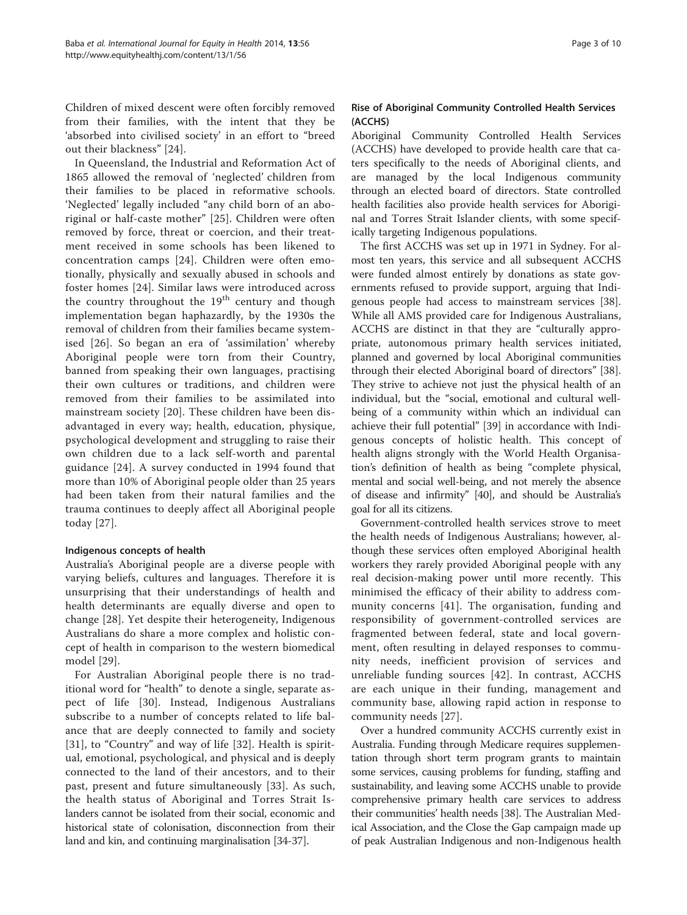Children of mixed descent were often forcibly removed from their families, with the intent that they be 'absorbed into civilised society' in an effort to "breed out their blackness" [[24\]](#page-8-0).

In Queensland, the Industrial and Reformation Act of 1865 allowed the removal of 'neglected' children from their families to be placed in reformative schools. 'Neglected' legally included "any child born of an aboriginal or half-caste mother" [\[25\]](#page-8-0). Children were often removed by force, threat or coercion, and their treatment received in some schools has been likened to concentration camps [[24](#page-8-0)]. Children were often emotionally, physically and sexually abused in schools and foster homes [[24](#page-8-0)]. Similar laws were introduced across the country throughout the 19<sup>th</sup> century and though implementation began haphazardly, by the 1930s the removal of children from their families became systemised [[26\]](#page-8-0). So began an era of 'assimilation' whereby Aboriginal people were torn from their Country, banned from speaking their own languages, practising their own cultures or traditions, and children were removed from their families to be assimilated into mainstream society [[20\]](#page-8-0). These children have been disadvantaged in every way; health, education, physique, psychological development and struggling to raise their own children due to a lack self-worth and parental guidance [\[24](#page-8-0)]. A survey conducted in 1994 found that more than 10% of Aboriginal people older than 25 years had been taken from their natural families and the trauma continues to deeply affect all Aboriginal people today [[27\]](#page-8-0).

## Indigenous concepts of health

Australia's Aboriginal people are a diverse people with varying beliefs, cultures and languages. Therefore it is unsurprising that their understandings of health and health determinants are equally diverse and open to change [\[28](#page-8-0)]. Yet despite their heterogeneity, Indigenous Australians do share a more complex and holistic concept of health in comparison to the western biomedical model [[29\]](#page-8-0).

For Australian Aboriginal people there is no traditional word for "health" to denote a single, separate aspect of life [[30\]](#page-8-0). Instead, Indigenous Australians subscribe to a number of concepts related to life balance that are deeply connected to family and society [[31](#page-8-0)], to "Country" and way of life [[32](#page-8-0)]. Health is spiritual, emotional, psychological, and physical and is deeply connected to the land of their ancestors, and to their past, present and future simultaneously [\[33](#page-8-0)]. As such, the health status of Aboriginal and Torres Strait Islanders cannot be isolated from their social, economic and historical state of colonisation, disconnection from their land and kin, and continuing marginalisation [\[34-37\]](#page-8-0).

# Rise of Aboriginal Community Controlled Health Services (ACCHS)

Aboriginal Community Controlled Health Services (ACCHS) have developed to provide health care that caters specifically to the needs of Aboriginal clients, and are managed by the local Indigenous community through an elected board of directors. State controlled health facilities also provide health services for Aboriginal and Torres Strait Islander clients, with some specifically targeting Indigenous populations.

The first ACCHS was set up in 1971 in Sydney. For almost ten years, this service and all subsequent ACCHS were funded almost entirely by donations as state governments refused to provide support, arguing that Indigenous people had access to mainstream services [\[38](#page-8-0)]. While all AMS provided care for Indigenous Australians, ACCHS are distinct in that they are "culturally appropriate, autonomous primary health services initiated, planned and governed by local Aboriginal communities through their elected Aboriginal board of directors" [\[38](#page-8-0)]. They strive to achieve not just the physical health of an individual, but the "social, emotional and cultural wellbeing of a community within which an individual can achieve their full potential" [[39\]](#page-8-0) in accordance with Indigenous concepts of holistic health. This concept of health aligns strongly with the World Health Organisation's definition of health as being "complete physical, mental and social well-being, and not merely the absence of disease and infirmity" [\[40\]](#page-8-0), and should be Australia's goal for all its citizens.

Government-controlled health services strove to meet the health needs of Indigenous Australians; however, although these services often employed Aboriginal health workers they rarely provided Aboriginal people with any real decision-making power until more recently. This minimised the efficacy of their ability to address community concerns [\[41](#page-8-0)]. The organisation, funding and responsibility of government-controlled services are fragmented between federal, state and local government, often resulting in delayed responses to community needs, inefficient provision of services and unreliable funding sources [[42\]](#page-8-0). In contrast, ACCHS are each unique in their funding, management and community base, allowing rapid action in response to community needs [\[27](#page-8-0)].

Over a hundred community ACCHS currently exist in Australia. Funding through Medicare requires supplementation through short term program grants to maintain some services, causing problems for funding, staffing and sustainability, and leaving some ACCHS unable to provide comprehensive primary health care services to address their communities' health needs [\[38\]](#page-8-0). The Australian Medical Association, and the Close the Gap campaign made up of peak Australian Indigenous and non-Indigenous health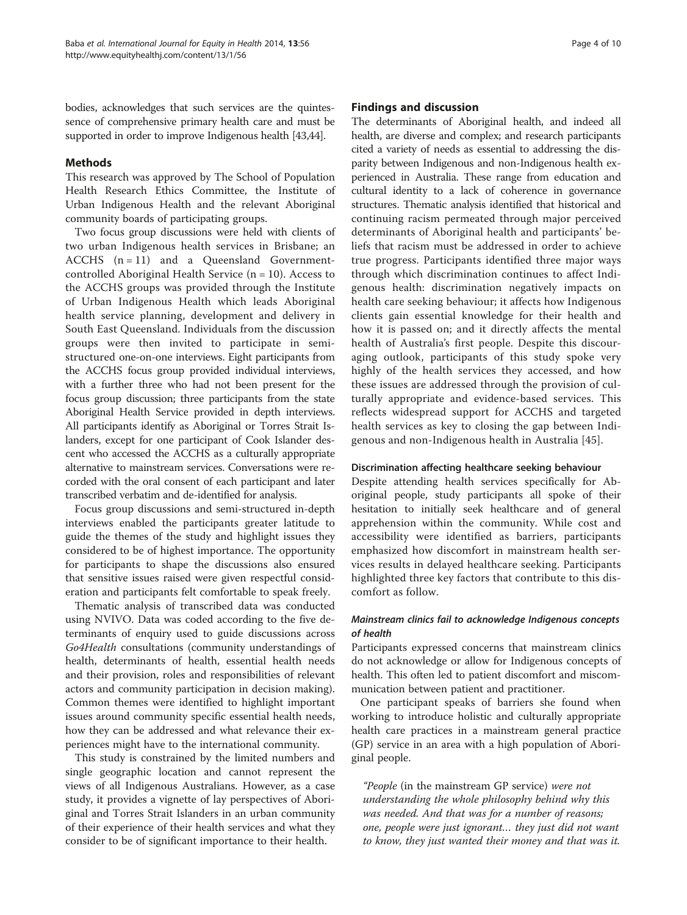bodies, acknowledges that such services are the quintessence of comprehensive primary health care and must be supported in order to improve Indigenous health [\[43,44\]](#page-8-0).

# Methods

This research was approved by The School of Population Health Research Ethics Committee, the Institute of Urban Indigenous Health and the relevant Aboriginal community boards of participating groups.

Two focus group discussions were held with clients of two urban Indigenous health services in Brisbane; an  $ACCHS$   $(n = 11)$  and a Queensland Governmentcontrolled Aboriginal Health Service  $(n = 10)$ . Access to the ACCHS groups was provided through the Institute of Urban Indigenous Health which leads Aboriginal health service planning, development and delivery in South East Queensland. Individuals from the discussion groups were then invited to participate in semistructured one-on-one interviews. Eight participants from the ACCHS focus group provided individual interviews, with a further three who had not been present for the focus group discussion; three participants from the state Aboriginal Health Service provided in depth interviews. All participants identify as Aboriginal or Torres Strait Islanders, except for one participant of Cook Islander descent who accessed the ACCHS as a culturally appropriate alternative to mainstream services. Conversations were recorded with the oral consent of each participant and later transcribed verbatim and de-identified for analysis.

Focus group discussions and semi-structured in-depth interviews enabled the participants greater latitude to guide the themes of the study and highlight issues they considered to be of highest importance. The opportunity for participants to shape the discussions also ensured that sensitive issues raised were given respectful consideration and participants felt comfortable to speak freely.

Thematic analysis of transcribed data was conducted using NVIVO. Data was coded according to the five determinants of enquiry used to guide discussions across Go4Health consultations (community understandings of health, determinants of health, essential health needs and their provision, roles and responsibilities of relevant actors and community participation in decision making). Common themes were identified to highlight important issues around community specific essential health needs, how they can be addressed and what relevance their experiences might have to the international community.

This study is constrained by the limited numbers and single geographic location and cannot represent the views of all Indigenous Australians. However, as a case study, it provides a vignette of lay perspectives of Aboriginal and Torres Strait Islanders in an urban community of their experience of their health services and what they consider to be of significant importance to their health.

## Findings and discussion

The determinants of Aboriginal health, and indeed all health, are diverse and complex; and research participants cited a variety of needs as essential to addressing the disparity between Indigenous and non-Indigenous health experienced in Australia. These range from education and cultural identity to a lack of coherence in governance structures. Thematic analysis identified that historical and continuing racism permeated through major perceived determinants of Aboriginal health and participants' beliefs that racism must be addressed in order to achieve true progress. Participants identified three major ways through which discrimination continues to affect Indigenous health: discrimination negatively impacts on health care seeking behaviour; it affects how Indigenous clients gain essential knowledge for their health and how it is passed on; and it directly affects the mental health of Australia's first people. Despite this discouraging outlook, participants of this study spoke very highly of the health services they accessed, and how these issues are addressed through the provision of culturally appropriate and evidence-based services. This reflects widespread support for ACCHS and targeted health services as key to closing the gap between Indigenous and non-Indigenous health in Australia [[45\]](#page-8-0).

## Discrimination affecting healthcare seeking behaviour

Despite attending health services specifically for Aboriginal people, study participants all spoke of their hesitation to initially seek healthcare and of general apprehension within the community. While cost and accessibility were identified as barriers, participants emphasized how discomfort in mainstream health services results in delayed healthcare seeking. Participants highlighted three key factors that contribute to this discomfort as follow.

# Mainstream clinics fail to acknowledge Indigenous concepts of health

Participants expressed concerns that mainstream clinics do not acknowledge or allow for Indigenous concepts of health. This often led to patient discomfort and miscommunication between patient and practitioner.

One participant speaks of barriers she found when working to introduce holistic and culturally appropriate health care practices in a mainstream general practice (GP) service in an area with a high population of Aboriginal people.

"People (in the mainstream GP service) were not understanding the whole philosophy behind why this was needed. And that was for a number of reasons; one, people were just ignorant… they just did not want to know, they just wanted their money and that was it.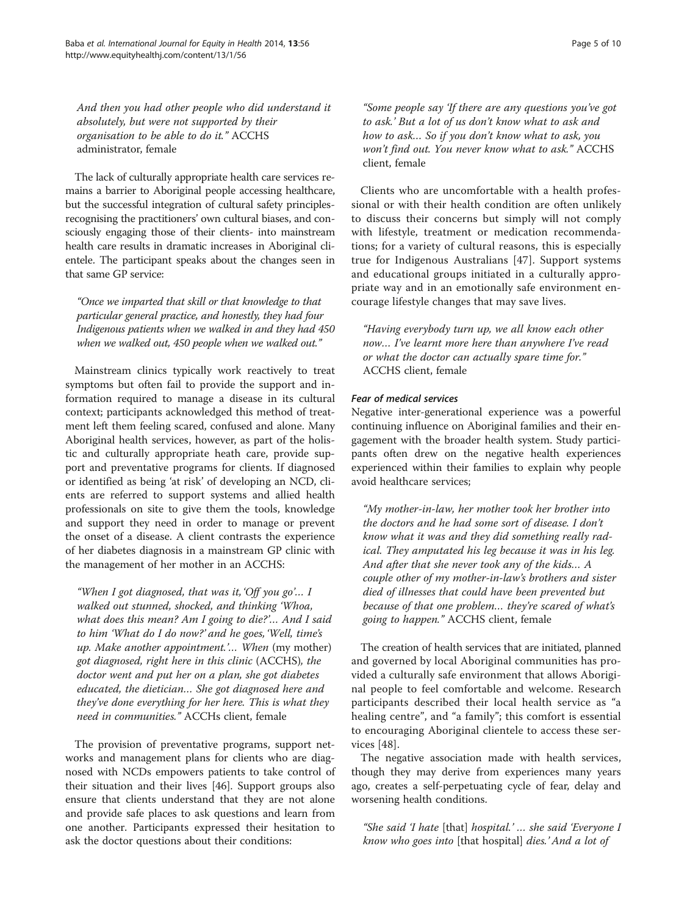And then you had other people who did understand it absolutely, but were not supported by their organisation to be able to do it." ACCHS administrator, female

The lack of culturally appropriate health care services remains a barrier to Aboriginal people accessing healthcare, but the successful integration of cultural safety principlesrecognising the practitioners' own cultural biases, and consciously engaging those of their clients- into mainstream health care results in dramatic increases in Aboriginal clientele. The participant speaks about the changes seen in that same GP service:

"Once we imparted that skill or that knowledge to that particular general practice, and honestly, they had four Indigenous patients when we walked in and they had 450 when we walked out, 450 people when we walked out."

Mainstream clinics typically work reactively to treat symptoms but often fail to provide the support and information required to manage a disease in its cultural context; participants acknowledged this method of treatment left them feeling scared, confused and alone. Many Aboriginal health services, however, as part of the holistic and culturally appropriate heath care, provide support and preventative programs for clients. If diagnosed or identified as being 'at risk' of developing an NCD, clients are referred to support systems and allied health professionals on site to give them the tools, knowledge and support they need in order to manage or prevent the onset of a disease. A client contrasts the experience of her diabetes diagnosis in a mainstream GP clinic with the management of her mother in an ACCHS:

"When I got diagnosed, that was it, 'Off you go'… I walked out stunned, shocked, and thinking 'Whoa, what does this mean? Am I going to die?'... And I said to him 'What do I do now?' and he goes, 'Well, time's up. Make another appointment.'… When (my mother) got diagnosed, right here in this clinic (ACCHS), the doctor went and put her on a plan, she got diabetes educated, the dietician… She got diagnosed here and they've done everything for her here. This is what they need in communities." ACCHs client, female

The provision of preventative programs, support networks and management plans for clients who are diagnosed with NCDs empowers patients to take control of their situation and their lives [[46\]](#page-8-0). Support groups also ensure that clients understand that they are not alone and provide safe places to ask questions and learn from one another. Participants expressed their hesitation to ask the doctor questions about their conditions:

"Some people say 'If there are any questions you've got to ask.' But a lot of us don't know what to ask and how to ask… So if you don't know what to ask, you won't find out. You never know what to ask." ACCHS client, female

Clients who are uncomfortable with a health professional or with their health condition are often unlikely to discuss their concerns but simply will not comply with lifestyle, treatment or medication recommendations; for a variety of cultural reasons, this is especially true for Indigenous Australians [\[47](#page-8-0)]. Support systems and educational groups initiated in a culturally appropriate way and in an emotionally safe environment encourage lifestyle changes that may save lives.

"Having everybody turn up, we all know each other now… I've learnt more here than anywhere I've read or what the doctor can actually spare time for." ACCHS client, female

#### Fear of medical services

Negative inter-generational experience was a powerful continuing influence on Aboriginal families and their engagement with the broader health system. Study participants often drew on the negative health experiences experienced within their families to explain why people avoid healthcare services;

"My mother-in-law, her mother took her brother into the doctors and he had some sort of disease. I don't know what it was and they did something really radical. They amputated his leg because it was in his leg. And after that she never took any of the kids… A couple other of my mother-in-law's brothers and sister died of illnesses that could have been prevented but because of that one problem… they're scared of what's going to happen." ACCHS client, female

The creation of health services that are initiated, planned and governed by local Aboriginal communities has provided a culturally safe environment that allows Aboriginal people to feel comfortable and welcome. Research participants described their local health service as "a healing centre", and "a family"; this comfort is essential to encouraging Aboriginal clientele to access these services [[48](#page-8-0)].

The negative association made with health services, though they may derive from experiences many years ago, creates a self-perpetuating cycle of fear, delay and worsening health conditions.

"She said 'I hate [that] hospital.' … she said 'Everyone I know who goes into [that hospital] dies.' And a lot of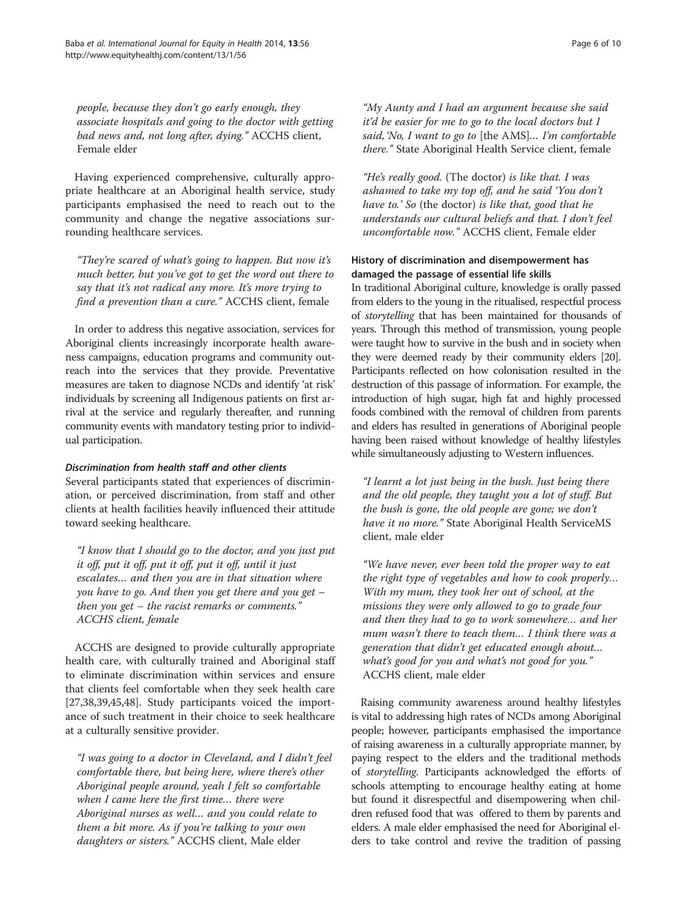people, because they don't go early enough, they associate hospitals and going to the doctor with getting bad news and, not long after, dying." ACCHS client, Female elder

Having experienced comprehensive, culturally appropriate healthcare at an Aboriginal health service, study participants emphasised the need to reach out to the community and change the negative associations surrounding healthcare services.

"They're scared of what's going to happen. But now it's much better, but you've got to get the word out there to say that it's not radical any more. It's more trying to find a prevention than a cure." ACCHS client, female

In order to address this negative association, services for Aboriginal clients increasingly incorporate health awareness campaigns, education programs and community outreach into the services that they provide. Preventative measures are taken to diagnose NCDs and identify 'at risk' individuals by screening all Indigenous patients on first arrival at the service and regularly thereafter, and running community events with mandatory testing prior to individual participation.

#### Discrimination from health staff and other clients

Several participants stated that experiences of discrimination, or perceived discrimination, from staff and other clients at health facilities heavily influenced their attitude toward seeking healthcare.

"I know that I should go to the doctor, and you just put it off, put it off, put it off, put it off, until it just escalates… and then you are in that situation where you have to go. And then you get there and you get – then you get – the racist remarks or comments." ACCHS client, female

ACCHS are designed to provide culturally appropriate health care, with culturally trained and Aboriginal staff to eliminate discrimination within services and ensure that clients feel comfortable when they seek health care [[27,38,39,45,48\]](#page-8-0). Study participants voiced the importance of such treatment in their choice to seek healthcare at a culturally sensitive provider.

"I was going to a doctor in Cleveland, and I didn't feel comfortable there, but being here, where there's other Aboriginal people around, yeah I felt so comfortable when I came here the first time... there were Aboriginal nurses as well… and you could relate to them a bit more. As if you're talking to your own daughters or sisters." ACCHS client, Male elder

"My Aunty and I had an argument because she said it'd be easier for me to go to the local doctors but I said, 'No, I want to go to [the AMS]… I'm comfortable there." State Aboriginal Health Service client, female

"He's really good. (The doctor) is like that. I was ashamed to take my top off, and he said 'You don't have to.' So (the doctor) is like that, good that he understands our cultural beliefs and that. I don't feel uncomfortable now." ACCHS client, Female elder

# History of discrimination and disempowerment has damaged the passage of essential life skills

In traditional Aboriginal culture, knowledge is orally passed from elders to the young in the ritualised, respectful process of storytelling that has been maintained for thousands of years. Through this method of transmission, young people were taught how to survive in the bush and in society when they were deemed ready by their community elders [\[20](#page-8-0)]. Participants reflected on how colonisation resulted in the destruction of this passage of information. For example, the introduction of high sugar, high fat and highly processed foods combined with the removal of children from parents and elders has resulted in generations of Aboriginal people having been raised without knowledge of healthy lifestyles while simultaneously adjusting to Western influences.

"I learnt a lot just being in the bush. Just being there and the old people, they taught you a lot of stuff. But the bush is gone, the old people are gone; we don't have it no more." State Aboriginal Health ServiceMS client, male elder

"We have never, ever been told the proper way to eat the right type of vegetables and how to cook properly… With my mum, they took her out of school, at the missions they were only allowed to go to grade four and then they had to go to work somewhere… and her mum wasn't there to teach them… I think there was a generation that didn't get educated enough about… what's good for you and what's not good for you." ACCHS client, male elder

Raising community awareness around healthy lifestyles is vital to addressing high rates of NCDs among Aboriginal people; however, participants emphasised the importance of raising awareness in a culturally appropriate manner, by paying respect to the elders and the traditional methods of storytelling. Participants acknowledged the efforts of schools attempting to encourage healthy eating at home but found it disrespectful and disempowering when children refused food that was offered to them by parents and elders. A male elder emphasised the need for Aboriginal elders to take control and revive the tradition of passing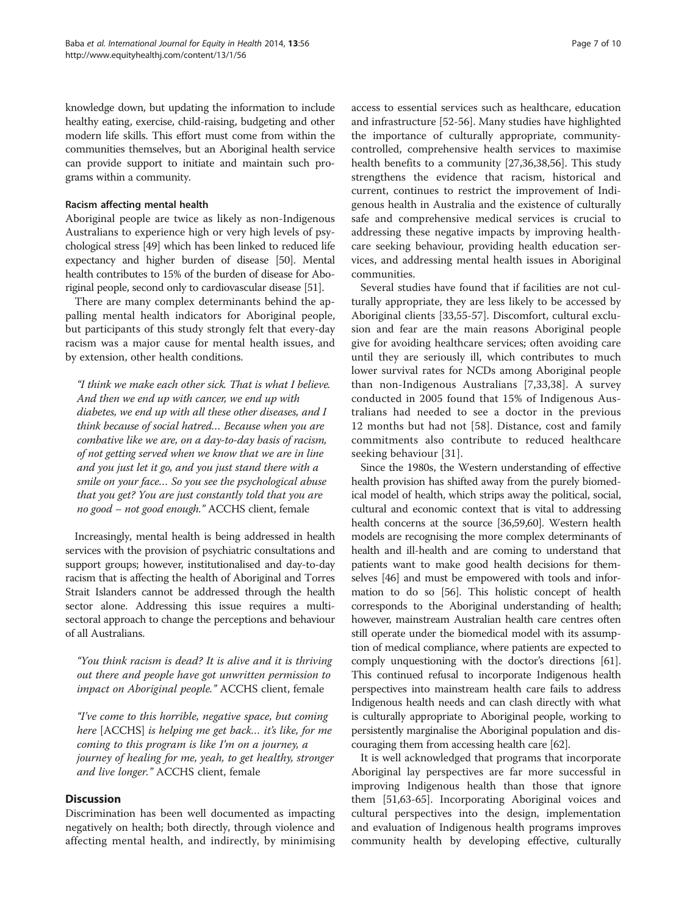knowledge down, but updating the information to include healthy eating, exercise, child-raising, budgeting and other modern life skills. This effort must come from within the communities themselves, but an Aboriginal health service can provide support to initiate and maintain such programs within a community.

#### Racism affecting mental health

Aboriginal people are twice as likely as non-Indigenous Australians to experience high or very high levels of psychological stress [[49](#page-8-0)] which has been linked to reduced life expectancy and higher burden of disease [\[50](#page-8-0)]. Mental health contributes to 15% of the burden of disease for Aboriginal people, second only to cardiovascular disease [\[51\]](#page-8-0).

There are many complex determinants behind the appalling mental health indicators for Aboriginal people, but participants of this study strongly felt that every-day racism was a major cause for mental health issues, and by extension, other health conditions.

"I think we make each other sick. That is what I believe. And then we end up with cancer, we end up with diabetes, we end up with all these other diseases, and I think because of social hatred… Because when you are combative like we are, on a day-to-day basis of racism, of not getting served when we know that we are in line and you just let it go, and you just stand there with a smile on your face… So you see the psychological abuse that you get? You are just constantly told that you are no good – not good enough." ACCHS client, female

Increasingly, mental health is being addressed in health services with the provision of psychiatric consultations and support groups; however, institutionalised and day-to-day racism that is affecting the health of Aboriginal and Torres Strait Islanders cannot be addressed through the health sector alone. Addressing this issue requires a multisectoral approach to change the perceptions and behaviour of all Australians.

"You think racism is dead? It is alive and it is thriving out there and people have got unwritten permission to impact on Aboriginal people." ACCHS client, female

"I've come to this horrible, negative space, but coming here [ACCHS] is helping me get back… it's like, for me coming to this program is like I'm on a journey, a journey of healing for me, yeah, to get healthy, stronger and live longer." ACCHS client, female

## **Discussion**

Discrimination has been well documented as impacting negatively on health; both directly, through violence and affecting mental health, and indirectly, by minimising

access to essential services such as healthcare, education and infrastructure [[52](#page-8-0)[-56](#page-9-0)]. Many studies have highlighted the importance of culturally appropriate, communitycontrolled, comprehensive health services to maximise health benefits to a community [[27,36,38,](#page-8-0)[56\]](#page-9-0). This study strengthens the evidence that racism, historical and current, continues to restrict the improvement of Indigenous health in Australia and the existence of culturally safe and comprehensive medical services is crucial to addressing these negative impacts by improving healthcare seeking behaviour, providing health education services, and addressing mental health issues in Aboriginal communities.

Several studies have found that if facilities are not culturally appropriate, they are less likely to be accessed by Aboriginal clients [[33,](#page-8-0)[55-57\]](#page-9-0). Discomfort, cultural exclusion and fear are the main reasons Aboriginal people give for avoiding healthcare services; often avoiding care until they are seriously ill, which contributes to much lower survival rates for NCDs among Aboriginal people than non-Indigenous Australians [[7,33,38\]](#page-8-0). A survey conducted in 2005 found that 15% of Indigenous Australians had needed to see a doctor in the previous 12 months but had not [[58\]](#page-9-0). Distance, cost and family commitments also contribute to reduced healthcare seeking behaviour [[31\]](#page-8-0).

Since the 1980s, the Western understanding of effective health provision has shifted away from the purely biomedical model of health, which strips away the political, social, cultural and economic context that is vital to addressing health concerns at the source [\[36,](#page-8-0)[59,60\]](#page-9-0). Western health models are recognising the more complex determinants of health and ill-health and are coming to understand that patients want to make good health decisions for themselves [\[46\]](#page-8-0) and must be empowered with tools and information to do so [[56](#page-9-0)]. This holistic concept of health corresponds to the Aboriginal understanding of health; however, mainstream Australian health care centres often still operate under the biomedical model with its assumption of medical compliance, where patients are expected to comply unquestioning with the doctor's directions [[61](#page-9-0)]. This continued refusal to incorporate Indigenous health perspectives into mainstream health care fails to address Indigenous health needs and can clash directly with what is culturally appropriate to Aboriginal people, working to persistently marginalise the Aboriginal population and discouraging them from accessing health care [\[62\]](#page-9-0).

It is well acknowledged that programs that incorporate Aboriginal lay perspectives are far more successful in improving Indigenous health than those that ignore them [[51,](#page-8-0)[63-65](#page-9-0)]. Incorporating Aboriginal voices and cultural perspectives into the design, implementation and evaluation of Indigenous health programs improves community health by developing effective, culturally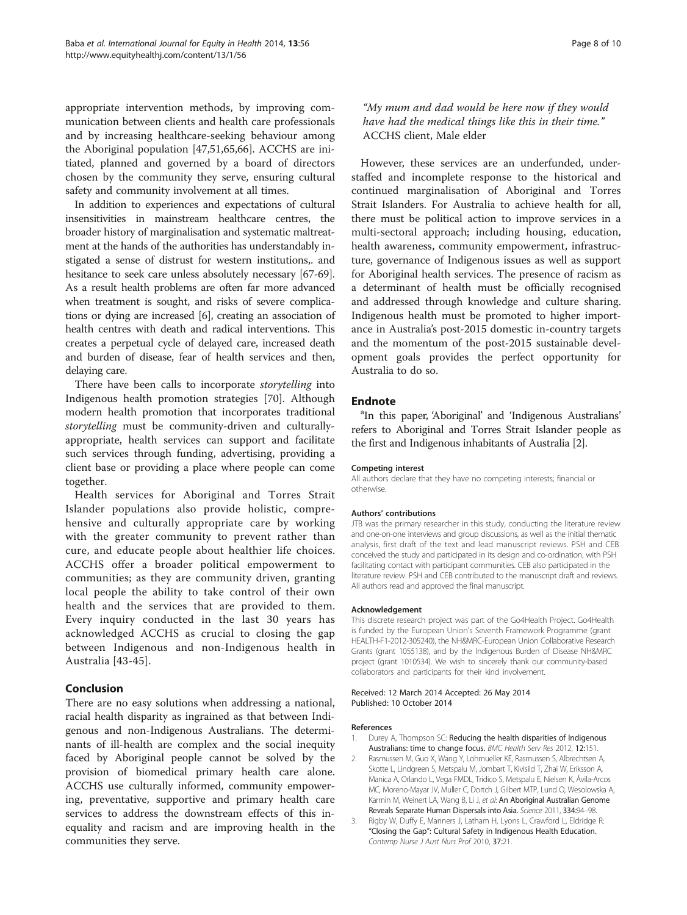<span id="page-7-0"></span>appropriate intervention methods, by improving communication between clients and health care professionals and by increasing healthcare-seeking behaviour among the Aboriginal population [\[47,51,](#page-8-0)[65,66\]](#page-9-0). ACCHS are initiated, planned and governed by a board of directors chosen by the community they serve, ensuring cultural safety and community involvement at all times.

In addition to experiences and expectations of cultural insensitivities in mainstream healthcare centres, the broader history of marginalisation and systematic maltreatment at the hands of the authorities has understandably instigated a sense of distrust for western institutions,. and hesitance to seek care unless absolutely necessary [[67](#page-9-0)-[69](#page-9-0)]. As a result health problems are often far more advanced when treatment is sought, and risks of severe complications or dying are increased [\[6\]](#page-8-0), creating an association of health centres with death and radical interventions. This creates a perpetual cycle of delayed care, increased death and burden of disease, fear of health services and then, delaying care.

There have been calls to incorporate *storytelling* into Indigenous health promotion strategies [[70\]](#page-9-0). Although modern health promotion that incorporates traditional storytelling must be community-driven and culturallyappropriate, health services can support and facilitate such services through funding, advertising, providing a client base or providing a place where people can come together.

Health services for Aboriginal and Torres Strait Islander populations also provide holistic, comprehensive and culturally appropriate care by working with the greater community to prevent rather than cure, and educate people about healthier life choices. ACCHS offer a broader political empowerment to communities; as they are community driven, granting local people the ability to take control of their own health and the services that are provided to them. Every inquiry conducted in the last 30 years has acknowledged ACCHS as crucial to closing the gap between Indigenous and non-Indigenous health in Australia [\[43](#page-8-0)-[45](#page-8-0)].

## Conclusion

There are no easy solutions when addressing a national, racial health disparity as ingrained as that between Indigenous and non-Indigenous Australians. The determinants of ill-health are complex and the social inequity faced by Aboriginal people cannot be solved by the provision of biomedical primary health care alone. ACCHS use culturally informed, community empowering, preventative, supportive and primary health care services to address the downstream effects of this inequality and racism and are improving health in the communities they serve.

"My mum and dad would be here now if they would have had the medical things like this in their time." ACCHS client, Male elder

However, these services are an underfunded, understaffed and incomplete response to the historical and continued marginalisation of Aboriginal and Torres Strait Islanders. For Australia to achieve health for all, there must be political action to improve services in a multi-sectoral approach; including housing, education, health awareness, community empowerment, infrastructure, governance of Indigenous issues as well as support for Aboriginal health services. The presence of racism as a determinant of health must be officially recognised and addressed through knowledge and culture sharing. Indigenous health must be promoted to higher importance in Australia's post-2015 domestic in-country targets and the momentum of the post-2015 sustainable development goals provides the perfect opportunity for Australia to do so.

## **Endnote**

<sup>a</sup>In this paper, 'Aboriginal' and 'Indigenous Australians' refers to Aboriginal and Torres Strait Islander people as the first and Indigenous inhabitants of Australia [2].

#### Competing interest

All authors declare that they have no competing interests; financial or otherwise.

#### Authors' contributions

JTB was the primary researcher in this study, conducting the literature review and one-on-one interviews and group discussions, as well as the initial thematic analysis, first draft of the text and lead manuscript reviews. PSH and CEB conceived the study and participated in its design and co-ordination, with PSH facilitating contact with participant communities. CEB also participated in the literature review. PSH and CEB contributed to the manuscript draft and reviews. All authors read and approved the final manuscript.

#### Acknowledgement

This discrete research project was part of the Go4Health Project. Go4Health is funded by the European Union's Seventh Framework Programme (grant HEALTH-F1-2012-305240), the NH&MRC-European Union Collaborative Research Grants (grant 1055138), and by the Indigenous Burden of Disease NH&MRC project (grant 1010534). We wish to sincerely thank our community-based collaborators and participants for their kind involvement.

#### Received: 12 March 2014 Accepted: 26 May 2014 Published: 10 October 2014

#### References

- 1. Durey A, Thompson SC: Reducing the health disparities of Indigenous Australians: time to change focus. BMC Health Serv Res 2012, 12:151.
- 2. Rasmussen M, Guo X, Wang Y, Lohmueller KE, Rasmussen S, Albrechtsen A, Skotte L, Lindgreen S, Metspalu M, Jombart T, Kivisild T, Zhai W, Eriksson A, Manica A, Orlando L, Vega FMDL, Tridico S, Metspalu E, Nielsen K, Ávila-Arcos MC, Moreno-Mayar JV, Muller C, Dortch J, Gilbert MTP, Lund O, Wesolowska A, Karmin M, Weinert LA, Wang B, Li J, et al: An Aboriginal Australian Genome Reveals Separate Human Dispersals into Asia. Science 2011, 334:94–98.
- 3. Rigby W, Duffy E, Manners J, Latham H, Lyons L, Crawford L, Eldridge R: "Closing the Gap": Cultural Safety in Indigenous Health Education. Contemp Nurse J Aust Nurs Prof 2010, 37:21.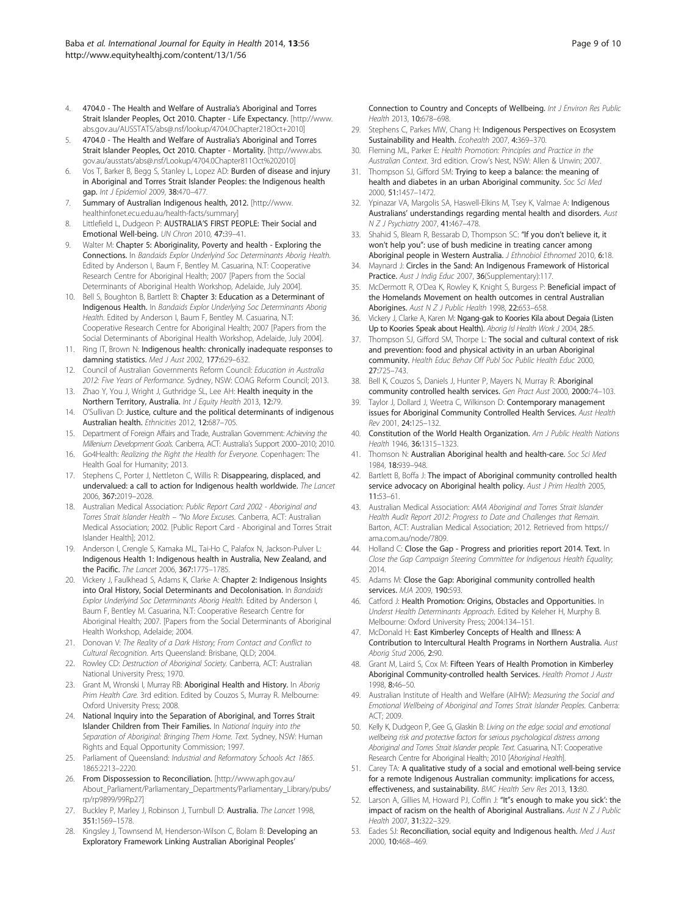- <span id="page-8-0"></span>4. 4704.0 - The Health and Welfare of Australia's Aboriginal and Torres Strait Islander Peoples, Oct 2010. Chapter - Life Expectancy. [[http://www.](http://www.abs.gov.au/AUSSTATS/abs@.nsf/lookup/4704.0Chapter218Oct+2010) [abs.gov.au/AUSSTATS/abs@.nsf/lookup/4704.0Chapter218Oct+2010\]](http://www.abs.gov.au/AUSSTATS/abs@.nsf/lookup/4704.0Chapter218Oct+2010)
- 5. 4704.0 The Health and Welfare of Australia's Aboriginal and Torres Strait Islander Peoples, Oct 2010. Chapter - Mortality. [[http://www.abs.](http://www.abs.gov.au/ausstats/abs@.nsf/Lookup/4704.0Chapter811Oct%202010) [gov.au/ausstats/abs@.nsf/Lookup/4704.0Chapter811Oct%202010\]](http://www.abs.gov.au/ausstats/abs@.nsf/Lookup/4704.0Chapter811Oct%202010)
- 6. Vos T, Barker B, Begg S, Stanley L, Lopez AD: Burden of disease and injury in Aboriginal and Torres Strait Islander Peoples: the Indigenous health gap. Int J Epidemiol 2009, 38:470–477.
- 7. Summary of Australian Indigenous health, 2012. [\[http://www.](http://www.healthinfonet.ecu.edu.au/health-facts/summary) [healthinfonet.ecu.edu.au/health-facts/summary](http://www.healthinfonet.ecu.edu.au/health-facts/summary)]
- 8. Littlefield L, Dudgeon P: AUSTRALIA'S FIRST PEOPLE: Their Social and Emotional Well-being. UN Chron 2010, 47:39–41.
- 9. Walter M: Chapter 5: Aboriginality, Poverty and health Exploring the Connections. In Bandaids Explor Underlyind Soc Determinants Aborig Health. Edited by Anderson I, Baum F, Bentley M. Casuarina, N.T: Cooperative Research Centre for Aboriginal Health; 2007 [Papers from the Social Determinants of Aboriginal Health Workshop, Adelaide, July 2004].
- 10. Bell S, Boughton B, Bartlett B: Chapter 3: Education as a Determinant of Indigenous Health. In Bandaids Explor Underlying Soc Determinants Aborig Health. Edited by Anderson I, Baum F, Bentley M. Casuarina, N.T: Cooperative Research Centre for Aboriginal Health; 2007 [Papers from the Social Determinants of Aboriginal Health Workshop, Adelaide, July 2004].
- 11. Ring IT, Brown N: Indigenous health: chronically inadequate responses to damning statistics. Med J Aust 2002, 177:629–632.
- 12. Council of Australian Governments Reform Council: Education in Australia 2012: Five Years of Performance. Sydney, NSW: COAG Reform Council; 2013.
- 13. Zhao Y, You J, Wright J, Guthridge SL, Lee AH: Health inequity in the Northern Territory, Australia. Int J Equity Health 2013, 12:79.
- 14. O'Sullivan D: Justice, culture and the political determinants of indigenous Australian health. Ethnicities 2012, 12:687–705.
- 15. Department of Foreign Affairs and Trade, Australian Government: Achieving the Millenium Development Goals. Canberra, ACT: Australia's Support 2000–2010; 2010.
- 16. Go4Health: Realizing the Right the Health for Everyone. Copenhagen: The Health Goal for Humanity; 2013.
- 17. Stephens C, Porter J, Nettleton C, Willis R: Disappearing, displaced, and undervalued: a call to action for Indigenous health worldwide. The Lancet 2006, 367:2019–2028.
- 18. Australian Medical Association: Public Report Card 2002 Aboriginal and Torres Strait Islander Health – "No More Excuses. Canberra, ACT: Australian Medical Association; 2002. [Public Report Card - Aboriginal and Torres Strait Islander Health]; 2012.
- 19. Anderson I, Crengle S, Kamaka ML, Tai-Ho C, Palafox N, Jackson-Pulver L: Indigenous Health 1: Indigenous health in Australia, New Zealand, and the Pacific. The Lancet 2006, 367:1775–1785.
- 20. Vickery J, Faulkhead S, Adams K, Clarke A: Chapter 2: Indigenous Insights into Oral History, Social Determinants and Decolonisation. In Bandaids Explor Underlyind Soc Determinants Aborig Health. Edited by Anderson I, Baum F, Bentley M. Casuarina, N.T: Cooperative Research Centre for Aboriginal Health; 2007. [Papers from the Social Determinants of Aboriginal Health Workshop, Adelaide; 2004.
- 21. Donovan V: The Reality of a Dark History; From Contact and Conflict to Cultural Recognition. Arts Queensland: Brisbane, QLD; 2004.
- 22. Rowley CD: Destruction of Aboriginal Society. Canberra, ACT: Australian National University Press; 1970.
- 23. Grant M, Wronski I, Murray RB: Aboriginal Health and History. In Aborig Prim Health Care. 3rd edition. Edited by Couzos S, Murray R. Melbourne: Oxford University Press; 2008.
- 24. National Inquiry into the Separation of Aboriginal, and Torres Strait Islander Children from Their Families. In National Inquiry into the Separation of Aboriginal: Bringing Them Home. Text. Sydney, NSW: Human Rights and Equal Opportunity Commission; 1997.
- 25. Parliament of Queensland: Industrial and Reformatory Schools Act 1865. 1865:2213–2220.
- 26. From Dispossession to Reconciliation. [[http://www.aph.gov.au/](http://www.aph.gov.au/About_Parliament/Parliamentary_Departments/Parliamentary_Library/pubs/rp/rp9899/99Rp27) [About\\_Parliament/Parliamentary\\_Departments/Parliamentary\\_Library/pubs/](http://www.aph.gov.au/About_Parliament/Parliamentary_Departments/Parliamentary_Library/pubs/rp/rp9899/99Rp27) [rp/rp9899/99Rp27](http://www.aph.gov.au/About_Parliament/Parliamentary_Departments/Parliamentary_Library/pubs/rp/rp9899/99Rp27)]
- 27. Buckley P, Marley J, Robinson J, Turnbull D: Australia. The Lancet 1998, 351:1569–1578.
- 28. Kingsley J, Townsend M, Henderson-Wilson C, Bolam B: Developing an Exploratory Framework Linking Australian Aboriginal Peoples'

Connection to Country and Concepts of Wellbeing. Int J Environ Res Public Health 2013, 10:678–698.

- 29. Stephens C, Parkes MW, Chang H: Indigenous Perspectives on Ecosystem Sustainability and Health. Ecohealth 2007, 4:369–370.
- 30. Fleming ML, Parker E: Health Promotion: Principles and Practice in the Australian Context. 3rd edition. Crow's Nest, NSW: Allen & Unwin; 2007.
- 31. Thompson SJ, Gifford SM: Trying to keep a balance: the meaning of health and diabetes in an urban Aboriginal community. Soc Sci Med 2000, 51:1457–1472.
- 32. Ypinazar VA, Margolis SA, Haswell-Elkins M, Tsey K, Valmae A: Indigenous Australians' understandings regarding mental health and disorders. Aust N Z J Psychiatry 2007, 41:467–478.
- 33. Shahid S, Bleam R, Bessarab D, Thompson SC: "If you don't believe it, it won't help you": use of bush medicine in treating cancer among Aboriginal people in Western Australia. J Ethnobiol Ethnomed 2010, 6:18.
- 34. Maynard J: Circles in the Sand: An Indigenous Framework of Historical Practice. Aust J Indig Educ 2007, 36(Supplementary):117
- McDermott R, O'Dea K, Rowley K, Knight S, Burgess P: Beneficial impact of the Homelands Movement on health outcomes in central Australian Aborigines. Aust N Z J Public Health 1998, 22:653–658.
- 36. Vickery J, Clarke A, Karen M: Ngang-gak to Koories Kila about Degaia (Listen Up to Koories Speak about Health). Aborig Isl Health Work J 2004, 28:5.
- 37. Thompson SJ, Gifford SM, Thorpe L: The social and cultural context of risk and prevention: food and physical activity in an urban Aboriginal community. Health Educ Behav Off Publ Soc Public Health Educ 2000, 27:725–743.
- 38. Bell K, Couzos S, Daniels J, Hunter P, Mayers N, Murray R: Aboriginal community controlled health services. Gen Pract Aust 2000, 2000:74–103.
- 39. Taylor J, Dollard J, Weetra C, Wilkinson D: Contemporary management issues for Aboriginal Community Controlled Health Services. Aust Health Rev 2001, 24:125–132.
- 40. Constitution of the World Health Organization. Am J Public Health Nations Health 1946, 36:1315–1323.
- 41. Thomson N: Australian Aboriginal health and health-care. Soc Sci Med 1984, 18:939–948.
- 42. Bartlett B, Boffa J: The impact of Aboriginal community controlled health service advocacy on Aboriginal health policy. Aust J Prim Health 2005, 11:53–61.
- 43. Australian Medical Association: AMA Aboriginal and Torres Strait Islander Health Audit Report 2012: Progress to Date and Challenges that Remain. Barton, ACT: Australian Medical Association; 2012. Retrieved from [https://](https://ama.com.au/node/7809) [ama.com.au/node/7809](https://ama.com.au/node/7809).
- 44. Holland C: Close the Gap Progress and priorities report 2014. Text. In Close the Gap Campaign Steering Committee for Indigenous Health Equality; 2014.
- 45. Adams M: Close the Gap: Aboriginal community controlled health services. MJA 2009, 190:593.
- 46. Catford J: Health Promotion: Origins, Obstacles and Opportunities. In Underst Health Determinants Approach. Edited by Keleher H, Murphy B. Melbourne: Oxford University Press; 2004:134–151.
- 47. McDonald H: East Kimberley Concepts of Health and Illness: A Contribution to Intercultural Health Programs in Northern Australia. Aust Aborig Stud 2006, 2:90.
- 48. Grant M, Laird S, Cox M: Fifteen Years of Health Promotion in Kimberley Aboriginal Community-controlled health Services. Health Promot J Austr 1998, 8:46–50.
- 49. Australian Institute of Health and Welfare (AIHW): Measuring the Social and Emotional Wellbeing of Aboriginal and Torres Strait Islander Peoples. Canberra: ACT; 2009.
- 50. Kelly K, Dudgeon P, Gee G, Glaskin B: Living on the edge: social and emotional wellbeing risk and protective factors for serious psychological distress among Aboriginal and Torres Strait Islander people. Text. Casuarina, N.T: Cooperative Research Centre for Aboriginal Health; 2010 [Aboriginal Health].
- 51. Carey TA: A qualitative study of a social and emotional well-being service for a remote Indigenous Australian community: implications for access, effectiveness, and sustainability. BMC Health Serv Res 2013, 13:80.
- 52. Larson A, Gillies M, Howard PJ, Coffin J: "It"s enough to make you sick': the impact of racism on the health of Aboriginal Australians. Aust  $N Z J$  Public Health 2007, 31:322–329.
- 53. Eades SJ: Reconciliation, social equity and Indigenous health. Med J Aust 2000, 10:468–469.